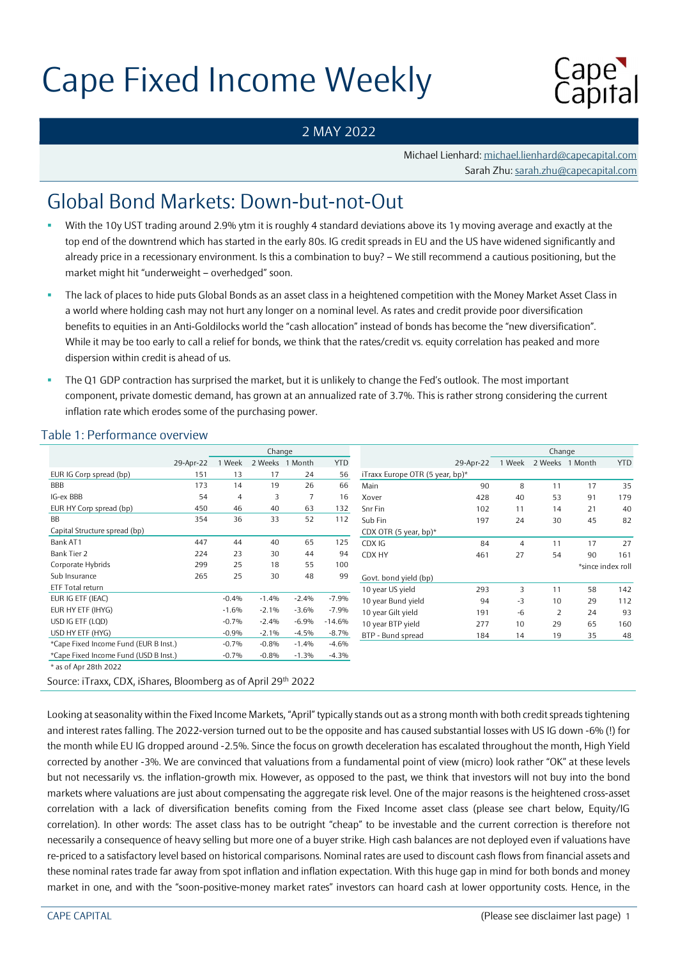# Cape Fixed Income Weekly



### 2 MAY 2022

 Michael Lienhard: michael.lienhard@capecapital.com Sarah Zhu: sarah.zhu@capecapital.com

# Global Bond Markets: Down-but-not-Out

- With the 10y UST trading around 2.9% ytm it is roughly 4 standard deviations above its 1y moving average and exactly at the top end of the downtrend which has started in the early 80s. IG credit spreads in EU and the US have widened significantly and already price in a recessionary environment. Is this a combination to buy? – We still recommend a cautious positioning, but the market might hit "underweight – overhedged" soon.
- The lack of places to hide puts Global Bonds as an asset class in a heightened competition with the Money Market Asset Class in a world where holding cash may not hurt any longer on a nominal level. As rates and credit provide poor diversification benefits to equities in an Anti-Goldilocks world the "cash allocation" instead of bonds has become the "new diversification". While it may be too early to call a relief for bonds, we think that the rates/credit vs. equity correlation has peaked and more dispersion within credit is ahead of us.
- The Q1 GDP contraction has surprised the market, but it is unlikely to change the Fed's outlook. The most important component, private domestic demand, has grown at an annualized rate of 3.7%. This is rather strong considering the current inflation rate which erodes some of the purchasing power.

| While it may be too early to call a relief for bonds, we think that the rates/credit vs. equity correlation has peaked and more<br>dispersion within credit is ahead of us.                                                                                                                                                                                                           |           |                |                 |                |            | benefits to equities in an Anti-Goldilocks world the "cash allocation" instead of bonds has become the "new diversification". |           |                |                        |                   |            |  |
|---------------------------------------------------------------------------------------------------------------------------------------------------------------------------------------------------------------------------------------------------------------------------------------------------------------------------------------------------------------------------------------|-----------|----------------|-----------------|----------------|------------|-------------------------------------------------------------------------------------------------------------------------------|-----------|----------------|------------------------|-------------------|------------|--|
| The Q1 GDP contraction has surprised the market, but it is unlikely to change the Fed's outlook. The most important<br>$\mathcal{L}_{\mathcal{A}}$<br>component, private domestic demand, has grown at an annualized rate of 3.7%. This is rather strong considering the current<br>inflation rate which erodes some of the purchasing power.<br><b>Table 1: Performance overview</b> |           |                |                 |                |            |                                                                                                                               |           |                |                        |                   |            |  |
|                                                                                                                                                                                                                                                                                                                                                                                       |           |                |                 | Change         |            |                                                                                                                               |           | Change         |                        |                   |            |  |
|                                                                                                                                                                                                                                                                                                                                                                                       | 29-Apr-22 | 1 Week         | 2 Weeks 1 Month |                | <b>YTD</b> |                                                                                                                               | 29-Apr-22 |                | 1 Week 2 Weeks 1 Month |                   | <b>YTD</b> |  |
| EUR IG Corp spread (bp)                                                                                                                                                                                                                                                                                                                                                               | 151       | 13             | 17              | 24             | -56        | iTraxx Europe OTR (5 year, bp)*                                                                                               |           |                |                        |                   |            |  |
| <b>BBB</b>                                                                                                                                                                                                                                                                                                                                                                            | 173       | 14             | 19              | 26             | 66         | Main                                                                                                                          | 90        | 8              | 11                     | 17                | 35         |  |
| IG-ex BBB                                                                                                                                                                                                                                                                                                                                                                             | 54        | $\overline{4}$ | 3               | $\overline{7}$ | 16         | Xover                                                                                                                         | 428       | 40             | 53                     | 91                | 179        |  |
| EUR HY Corp spread (bp)                                                                                                                                                                                                                                                                                                                                                               | 450       | 46             | 40              | 63             | 132        | Snr Fin                                                                                                                       | 102       | 11             | 14                     | 21                | 40         |  |
| <b>BB</b>                                                                                                                                                                                                                                                                                                                                                                             | 354       | 36             | 33              | 52             | 112        | Sub Fin                                                                                                                       | 197       | 24             | 30                     | 45                | 82         |  |
| Capital Structure spread (bp)                                                                                                                                                                                                                                                                                                                                                         |           |                |                 |                |            | CDX OTR $(5$ year, bp)*                                                                                                       |           |                |                        |                   |            |  |
| Bank AT1                                                                                                                                                                                                                                                                                                                                                                              | 447       | 44             | 40              | 65             | 125        | CDX IG                                                                                                                        | 84        | $\overline{4}$ | 11                     | 17                | 27         |  |
| Bank Tier 2                                                                                                                                                                                                                                                                                                                                                                           | 224       | 23             | 30              | 44             | 94         | CDX HY                                                                                                                        | 461       | 27             | 54                     | 90                | 161        |  |
| Corporate Hybrids                                                                                                                                                                                                                                                                                                                                                                     | 299       | 25             | 18              | 55             | 100        |                                                                                                                               |           |                |                        | *since index roll |            |  |
| Sub Insurance                                                                                                                                                                                                                                                                                                                                                                         | 265       | 25             | 30              | 48             | 99         | Govt. bond yield (bp)                                                                                                         |           |                |                        |                   |            |  |
| ETF Total return                                                                                                                                                                                                                                                                                                                                                                      |           |                |                 |                |            | 10 year US yield                                                                                                              | 293       | 3              | 11                     | 58                | 142        |  |
| EUR IG ETF (IEAC)                                                                                                                                                                                                                                                                                                                                                                     |           | $-0.4%$        | $-1.4%$         | $-2.4%$        | $-7.9%$    | 10 year Bund yield                                                                                                            | 94        | -3             | 10                     | 29                | 112        |  |
| EUR HY ETF (IHYG)                                                                                                                                                                                                                                                                                                                                                                     |           | $-1.6%$        | $-2.1%$         | $-3.6%$        | $-7.9%$    | 10 year Gilt yield                                                                                                            | 191       | -6             | 2                      | 24                | 93         |  |
| USD IG ETF (LQD)                                                                                                                                                                                                                                                                                                                                                                      |           | $-0.7%$        | $-2.4%$         | $-6.9%$        | $-14.6%$   | 10 year BTP yield                                                                                                             | 277       | 10             | 29                     | 65                | 160        |  |
| USD HY ETF (HYG)                                                                                                                                                                                                                                                                                                                                                                      |           | $-0.9%$        | $-2.1%$         | $-4.5%$        | $-8.7%$    | BTP - Bund spread                                                                                                             | 184       | 14             | 19                     | 35                | 48         |  |
| *Cape Fixed Income Fund (EUR B Inst.)                                                                                                                                                                                                                                                                                                                                                 |           | $-0.7%$        | $-0.8%$         | $-1.4%$        | $-4.6%$    |                                                                                                                               |           |                |                        |                   |            |  |
| *Cape Fixed Income Fund (USD B Inst.)                                                                                                                                                                                                                                                                                                                                                 |           | $-0.7%$        | $-0.8%$         | $-1.3%$        | $-4.3%$    |                                                                                                                               |           |                |                        |                   |            |  |
| * as of Apr 28th 2022                                                                                                                                                                                                                                                                                                                                                                 |           |                |                 |                |            |                                                                                                                               |           |                |                        |                   |            |  |
| Source: iTraxx, CDX, iShares, Bloomberg as of April 29th 2022                                                                                                                                                                                                                                                                                                                         |           |                |                 |                |            |                                                                                                                               |           |                |                        |                   |            |  |

#### Table 1: Performance overview

Looking at seasonality within the Fixed Income Markets, "April" typically stands out as a strong month with both credit spreads tightening and interest rates falling. The 2022-version turned out to be the opposite and has caused substantial losses with US IG down -6% (!) for the month while EU IG dropped around -2.5%. Since the focus on growth deceleration has escalated throughout the month, High Yield corrected by another -3%. We are convinced that valuations from a fundamental point of view (micro) look rather "OK" at these levels but not necessarily vs. the inflation-growth mix. However, as opposed to the past, we think that investors will not buy into the bond markets where valuations are just about compensating the aggregate risk level. One of the major reasons is the heightened cross-asset correlation with a lack of diversification benefits coming from the Fixed Income asset class (please see chart below, Equity/IG correlation). In other words: The asset class has to be outright "cheap" to be investable and the current correction is therefore not necessarily a consequence of heavy selling but more one of a buyer strike. High cash balances are not deployed even if valuations have re-priced to a satisfactory level based on historical comparisons. Nominal rates are used to discount cash flows from financial assets and these nominal rates trade far away from spot inflation and inflation expectation. With this huge gap in mind for both bonds and money market in one, and with the "soon-positive-money market rates" investors can hoard cash at lower opportunity costs. Hence, in the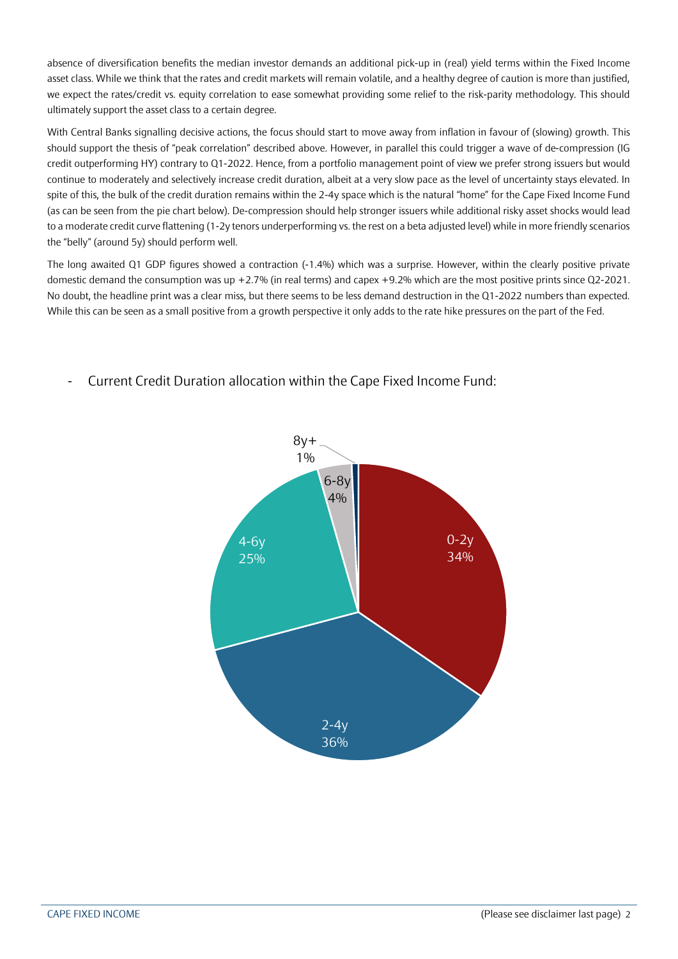absence of diversification benefits the median investor demands an additional pick-up in (real) yield terms within the Fixed Income asset class. While we think that the rates and credit markets will remain volatile, and a healthy degree of caution is more than justified, we expect the rates/credit vs. equity correlation to ease somewhat providing some relief to the risk-parity methodology. This should ultimately support the asset class to a certain degree.

With Central Banks signalling decisive actions, the focus should start to move away from inflation in favour of (slowing) growth. This should support the thesis of "peak correlation" described above. However, in parallel this could trigger a wave of de-compression (IG credit outperforming HY) contrary to Q1-2022. Hence, from a portfolio management point of view we prefer strong issuers but would continue to moderately and selectively increase credit duration, albeit at a very slow pace as the level of uncertainty stays elevated. In spite of this, the bulk of the credit duration remains within the 2-4y space which is the natural "home" for the Cape Fixed Income Fund (as can be seen from the pie chart below). De-compression should help stronger issuers while additional risky asset shocks would lead to a moderate credit curve flattening (1-2y tenors underperforming vs. the rest on a beta adjusted level) while in more friendly scenarios the "belly" (around 5y) should perform well.

The long awaited Q1 GDP figures showed a contraction (-1.4%) which was a surprise. However, within the clearly positive private domestic demand the consumption was up +2.7% (in real terms) and capex +9.2% which are the most positive prints since Q2-2021. No doubt, the headline print was a clear miss, but there seems to be less demand destruction in the Q1-2022 numbers than expected. While this can be seen as a small positive from a growth perspective it only adds to the rate hike pressures on the part of the Fed.